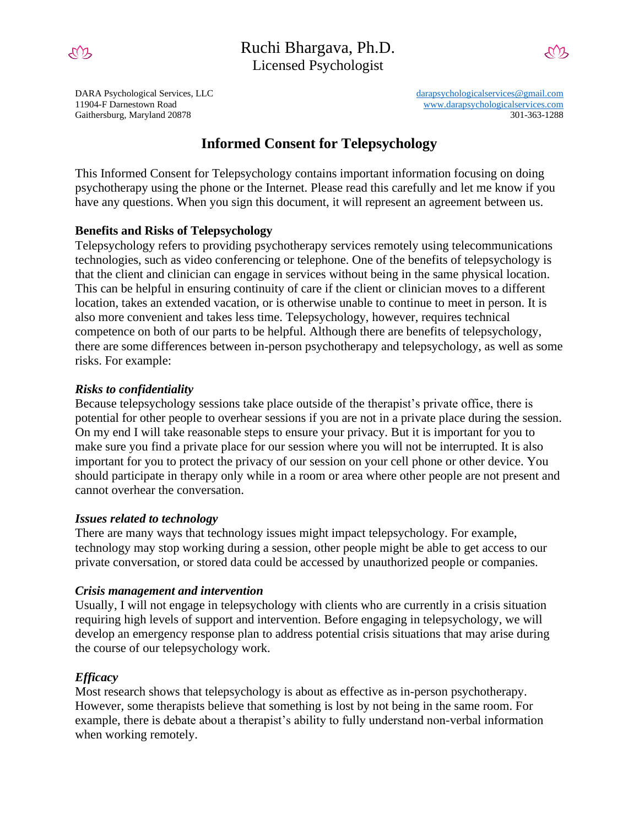



Gaithersburg, Maryland 20878 301-363-1288 301-363-1288

DARA Psychological Services, LLC [darapsychologicalservices@gmail.com](mailto:darapsychologicalservices@gmail.com) 11904-F Darnestown Road [www.darapsychologicalservices.com](http://www.darapsychologicalservices.com/)

# **Informed Consent for Telepsychology**

This Informed Consent for Telepsychology contains important information focusing on doing psychotherapy using the phone or the Internet. Please read this carefully and let me know if you have any questions. When you sign this document, it will represent an agreement between us.

## **Benefits and Risks of Telepsychology**

Telepsychology refers to providing psychotherapy services remotely using telecommunications technologies, such as video conferencing or telephone. One of the benefits of telepsychology is that the client and clinician can engage in services without being in the same physical location. This can be helpful in ensuring continuity of care if the client or clinician moves to a different location, takes an extended vacation, or is otherwise unable to continue to meet in person. It is also more convenient and takes less time. Telepsychology, however, requires technical competence on both of our parts to be helpful. Although there are benefits of telepsychology, there are some differences between in-person psychotherapy and telepsychology, as well as some risks. For example:

## *Risks to confidentiality*

Because telepsychology sessions take place outside of the therapist's private office, there is potential for other people to overhear sessions if you are not in a private place during the session. On my end I will take reasonable steps to ensure your privacy. But it is important for you to make sure you find a private place for our session where you will not be interrupted. It is also important for you to protect the privacy of our session on your cell phone or other device. You should participate in therapy only while in a room or area where other people are not present and cannot overhear the conversation.

#### *Issues related to technology*

There are many ways that technology issues might impact telepsychology. For example, technology may stop working during a session, other people might be able to get access to our private conversation, or stored data could be accessed by unauthorized people or companies.

# *Crisis management and intervention*

Usually, I will not engage in telepsychology with clients who are currently in a crisis situation requiring high levels of support and intervention. Before engaging in telepsychology, we will develop an emergency response plan to address potential crisis situations that may arise during the course of our telepsychology work.

# *Efficacy*

Most research shows that telepsychology is about as effective as in-person psychotherapy. However, some therapists believe that something is lost by not being in the same room. For example, there is debate about a therapist's ability to fully understand non-verbal information when working remotely.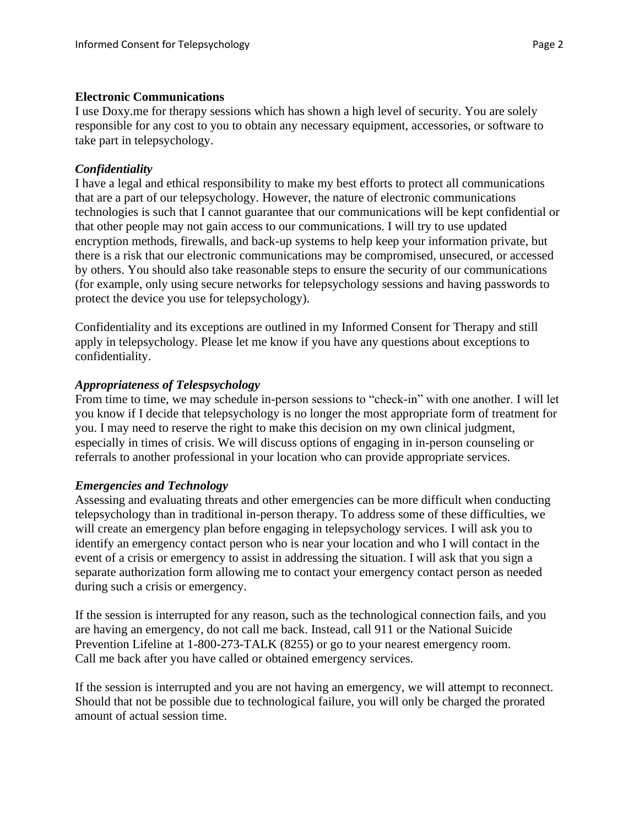#### **Electronic Communications**

I use Doxy.me for therapy sessions which has shown a high level of security. You are solely responsible for any cost to you to obtain any necessary equipment, accessories, or software to take part in telepsychology.

## *Confidentiality*

I have a legal and ethical responsibility to make my best efforts to protect all communications that are a part of our telepsychology. However, the nature of electronic communications technologies is such that I cannot guarantee that our communications will be kept confidential or that other people may not gain access to our communications. I will try to use updated encryption methods, firewalls, and back-up systems to help keep your information private, but there is a risk that our electronic communications may be compromised, unsecured, or accessed by others. You should also take reasonable steps to ensure the security of our communications (for example, only using secure networks for telepsychology sessions and having passwords to protect the device you use for telepsychology).

Confidentiality and its exceptions are outlined in my Informed Consent for Therapy and still apply in telepsychology. Please let me know if you have any questions about exceptions to confidentiality.

#### *Appropriateness of Telespsychology*

From time to time, we may schedule in-person sessions to "check-in" with one another. I will let you know if I decide that telepsychology is no longer the most appropriate form of treatment for you. I may need to reserve the right to make this decision on my own clinical judgment, especially in times of crisis. We will discuss options of engaging in in-person counseling or referrals to another professional in your location who can provide appropriate services.

#### *Emergencies and Technology*

Assessing and evaluating threats and other emergencies can be more difficult when conducting telepsychology than in traditional in-person therapy. To address some of these difficulties, we will create an emergency plan before engaging in telepsychology services. I will ask you to identify an emergency contact person who is near your location and who I will contact in the event of a crisis or emergency to assist in addressing the situation. I will ask that you sign a separate authorization form allowing me to contact your emergency contact person as needed during such a crisis or emergency.

If the session is interrupted for any reason, such as the technological connection fails, and you are having an emergency, do not call me back. Instead, call 911 or the National Suicide Prevention Lifeline at 1-800-273-TALK (8255) or go to your nearest emergency room. Call me back after you have called or obtained emergency services.

If the session is interrupted and you are not having an emergency, we will attempt to reconnect. Should that not be possible due to technological failure, you will only be charged the prorated amount of actual session time.